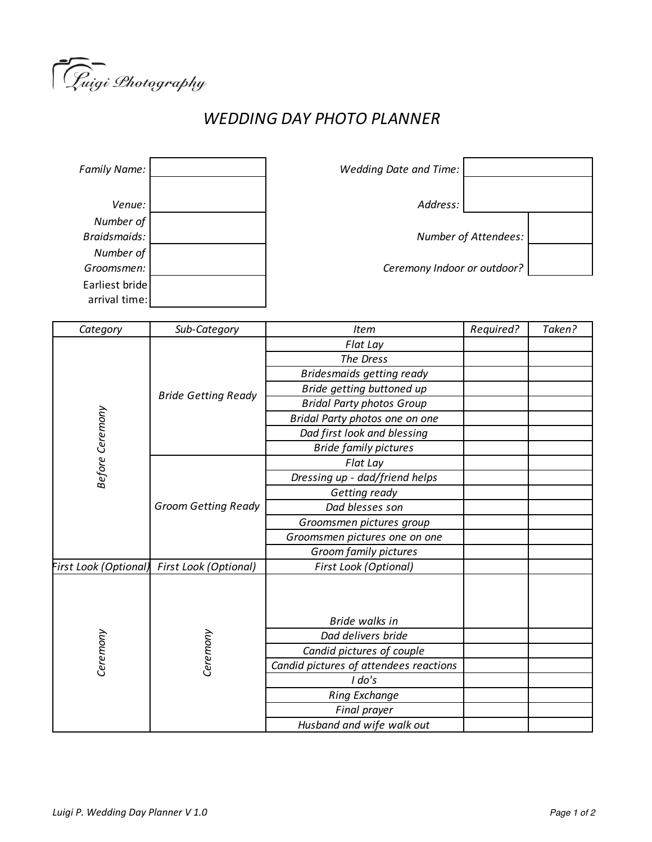

## *WEDDING DAY PHOTO PLANNER*

| <b>Family Name:</b> |  |
|---------------------|--|
|                     |  |
| Venue:              |  |
| Number of           |  |
| Braidsmaids:        |  |
| Number of           |  |
| Groomsmen:          |  |
| Earliest bride      |  |
| arrival time:       |  |

*Family Name: Wedding Date and Time:* Address: *Braidsmaids: Number of Attendees: Groomsmen: Ceremony Indoor or outdoor?*

| Category              | Sub-Category               | <b>Item</b>                            | Required? | Taken? |
|-----------------------|----------------------------|----------------------------------------|-----------|--------|
| Before Ceremony       | <b>Bride Getting Ready</b> | Flat Lay                               |           |        |
|                       |                            | The Dress                              |           |        |
|                       |                            | <b>Bridesmaids getting ready</b>       |           |        |
|                       |                            | Bride getting buttoned up              |           |        |
|                       |                            | <b>Bridal Party photos Group</b>       |           |        |
|                       |                            | Bridal Party photos one on one         |           |        |
|                       |                            | Dad first look and blessing            |           |        |
|                       |                            | <b>Bride family pictures</b>           |           |        |
|                       | <b>Groom Getting Ready</b> | Flat Lay                               |           |        |
|                       |                            | Dressing up - dad/friend helps         |           |        |
|                       |                            | Getting ready                          |           |        |
|                       |                            | Dad blesses son                        |           |        |
|                       |                            | Groomsmen pictures group               |           |        |
|                       |                            | Groomsmen pictures one on one          |           |        |
|                       |                            | Groom family pictures                  |           |        |
| First Look (Optional) | First Look (Optional)      | First Look (Optional)                  |           |        |
| Ceremony              | Ceremony                   |                                        |           |        |
|                       |                            | Bride walks in                         |           |        |
|                       |                            | Dad delivers bride                     |           |        |
|                       |                            | Candid pictures of couple              |           |        |
|                       |                            | Candid pictures of attendees reactions |           |        |
|                       |                            | I do's                                 |           |        |
|                       |                            | <b>Ring Exchange</b>                   |           |        |
|                       |                            | Final prayer                           |           |        |
|                       |                            | Husband and wife walk out              |           |        |